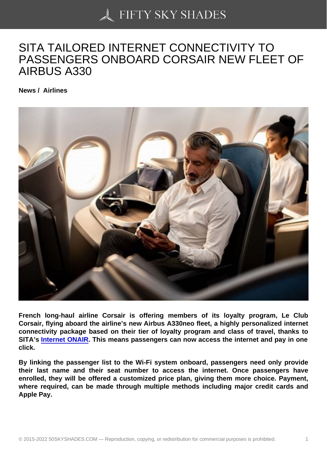## [SITA TAILORED INTE](https://50skyshades.com)RNET CONNECTIVITY TO PASSENGERS ONBOARD CORSAIR NEW FLEET OF AIRBUS A330

News / Airlines

French long-haul airline Corsair is offering members of its loyalty program, Le Club Corsair, flying aboard the airline's new Airbus A330neo fleet, a highly personalized internet connectivity package based on their tier of loyalty program and class of travel, thanks to SITA's Internet ONAIR . This means passengers can now access the internet and pay in one click.

By linking the passenger list to the Wi-Fi system onboard, passengers need only provide their la[st name and th](https://www.sita.aero/solutions/sita-for-aircraft/cabin-connectivity-services/internet-onair/)eir seat number to access the internet. Once passengers have enrolled, they will be offered a customized price plan, giving them more choice. Payment, where required, can be made through multiple methods including major credit cards and Apple Pay.